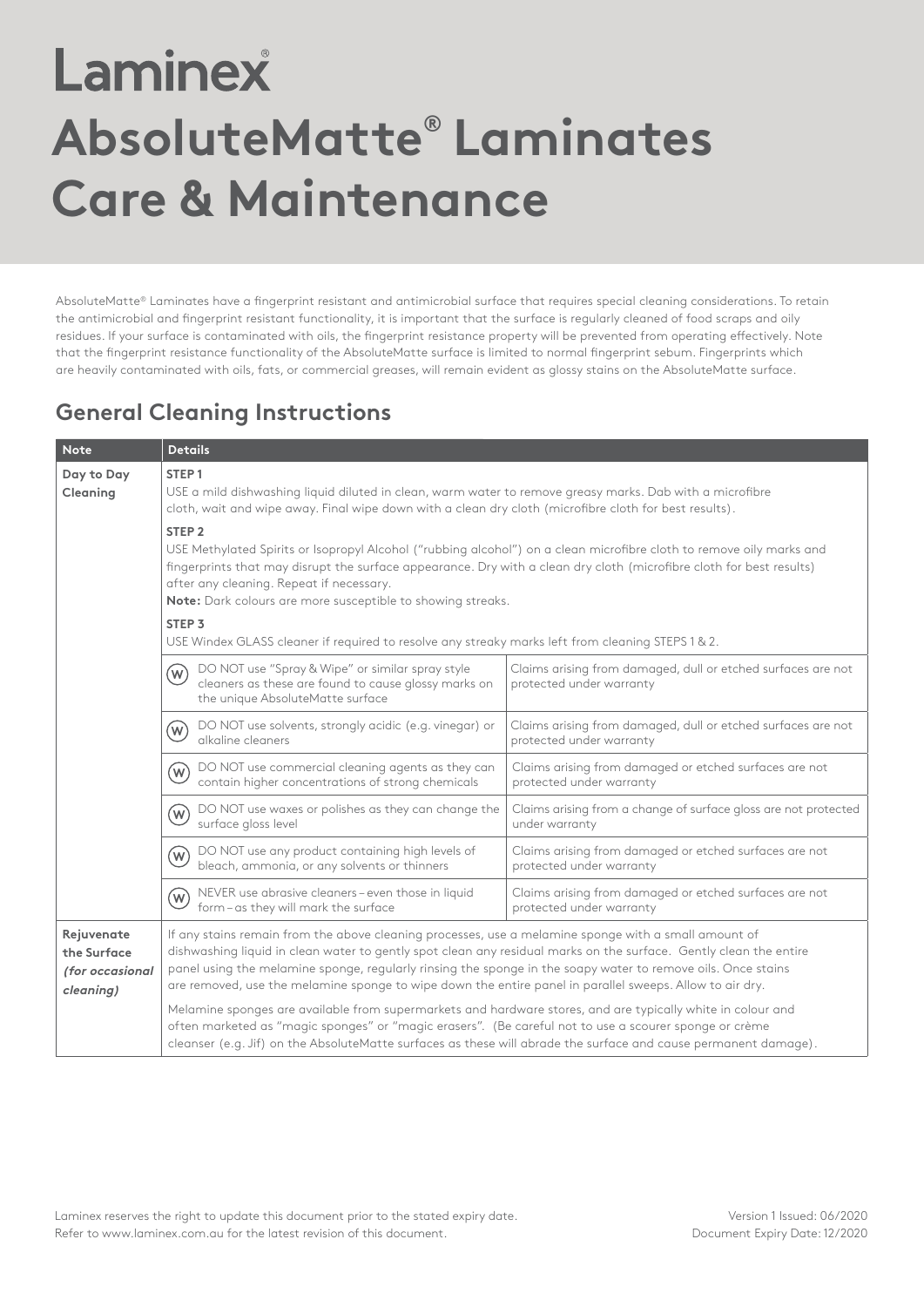## Laminex **AbsoluteMatte® Laminates Care & Maintenance**

AbsoluteMatte® Laminates have a fingerprint resistant and antimicrobial surface that requires special cleaning considerations. To retain the antimicrobial and fingerprint resistant functionality, it is important that the surface is regularly cleaned of food scraps and oily residues. If your surface is contaminated with oils, the fingerprint resistance property will be prevented from operating effectively. Note that the fingerprint resistance functionality of the AbsoluteMatte surface is limited to normal fingerprint sebum. Fingerprints which are heavily contaminated with oils, fats, or commercial greases, will remain evident as glossy stains on the AbsoluteMatte surface.

## **General Cleaning Instructions**

| <b>Note</b>                                               | <b>Details</b>                                                                                                                                                                                                                                                                                                                                                                                                                                        |                                                                                          |  |
|-----------------------------------------------------------|-------------------------------------------------------------------------------------------------------------------------------------------------------------------------------------------------------------------------------------------------------------------------------------------------------------------------------------------------------------------------------------------------------------------------------------------------------|------------------------------------------------------------------------------------------|--|
| Day to Day<br>Cleaning                                    | STEP <sub>1</sub><br>USE a mild dishwashing liquid diluted in clean, warm water to remove greasy marks. Dab with a microfibre<br>cloth, wait and wipe away. Final wipe down with a clean dry cloth (microfibre cloth for best results).<br>STEP <sub>2</sub><br>USE Methylated Spirits or Isopropyl Alcohol ("rubbing alcohol") on a clean microfibre cloth to remove oily marks and                                                                  |                                                                                          |  |
|                                                           | fingerprints that may disrupt the surface appearance. Dry with a clean dry cloth (microfibre cloth for best results)<br>after any cleaning. Repeat if necessary.<br>Note: Dark colours are more susceptible to showing streaks.                                                                                                                                                                                                                       |                                                                                          |  |
|                                                           | STEP <sub>3</sub><br>USE Windex GLASS cleaner if required to resolve any streaky marks left from cleaning STEPS 1 & 2.                                                                                                                                                                                                                                                                                                                                |                                                                                          |  |
|                                                           | DO NOT use "Spray & Wipe" or similar spray style<br>(W)<br>cleaners as these are found to cause glossy marks on<br>the unique AbsoluteMatte surface                                                                                                                                                                                                                                                                                                   | Claims arising from damaged, dull or etched surfaces are not<br>protected under warranty |  |
|                                                           | DO NOT use solvents, strongly acidic (e.g. vinegar) or<br>$\left(\mathsf{w}\right)$<br>alkaline cleaners                                                                                                                                                                                                                                                                                                                                              | Claims arising from damaged, dull or etched surfaces are not<br>protected under warranty |  |
|                                                           | DO NOT use commercial cleaning agents as they can<br>$(\mathsf{w})$<br>contain higher concentrations of strong chemicals                                                                                                                                                                                                                                                                                                                              | Claims arising from damaged or etched surfaces are not<br>protected under warranty       |  |
|                                                           | DO NOT use waxes or polishes as they can change the<br>$(\mathsf{w})$<br>surface gloss level                                                                                                                                                                                                                                                                                                                                                          | Claims arising from a change of surface gloss are not protected<br>under warranty        |  |
|                                                           | DO NOT use any product containing high levels of<br>(w)<br>bleach, ammonia, or any solvents or thinners                                                                                                                                                                                                                                                                                                                                               | Claims arising from damaged or etched surfaces are not<br>protected under warranty       |  |
|                                                           | NEVER use abrasive cleaners-even those in liquid<br>$(\mathsf{w})$<br>form-as they will mark the surface                                                                                                                                                                                                                                                                                                                                              | Claims arising from damaged or etched surfaces are not<br>protected under warranty       |  |
| Rejuvenate<br>the Surface<br>(for occasional<br>cleaning) | If any stains remain from the above cleaning processes, use a melamine sponge with a small amount of<br>dishwashing liquid in clean water to gently spot clean any residual marks on the surface. Gently clean the entire<br>panel using the melamine sponge, regularly rinsing the sponge in the soapy water to remove oils. Once stains<br>are removed, use the melamine sponge to wipe down the entire panel in parallel sweeps. Allow to air dry. |                                                                                          |  |
|                                                           | Melamine sponges are available from supermarkets and hardware stores, and are typically white in colour and<br>often marketed as "magic sponges" or "magic erasers". (Be careful not to use a scourer sponge or crème<br>cleanser (e.g. Jif) on the AbsoluteMatte surfaces as these will abrade the surface and cause permanent damage).                                                                                                              |                                                                                          |  |